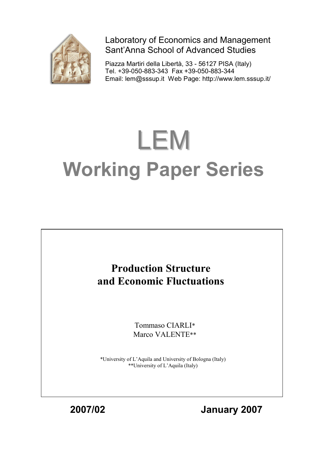

Laboratory of Economics and Management Sant'Anna School of Advanced Studies

Piazza Martiri della Libertà, 33 - 56127 PISA (Italy) Tel. +39-050-883-343 Fax +39-050-883-344 Email: lem@sssup.it Web Page: http://www.lem.sssup.it/

# LEM **Working Paper Series**

# **Production Structure and Economic Fluctuations**

Tommaso CIARLI\* Marco VALENTE\*\*

\*University of L'Aquila and University of Bologna (Italy) \*\*University of L'Aquila (Italy)

**2007/02 January 2007**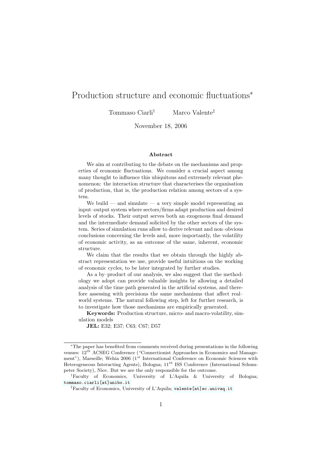# Production structure and economic fluctuations<sup>∗</sup>

Tommaso Ciarli† Marco Valente‡

November 18, 2006

#### Abstract

We aim at contributing to the debate on the mechanisms and properties of economic fluctuations. We consider a crucial aspect among many thought to influence this ubiquitous and extremely relevant phenomenon: the interaction structure that characterises the organisation of production, that is, the production relation among sectors of a system.

We build — and simulate — a very simple model representing an input–output system where sectors/firms adapt production and desired levels of stocks. Their output serves both an exogenous final demand and the intermediate demand solicited by the other sectors of the system. Series of simulation runs allow to derive relevant and non–obvious conclusions concerning the levels and, more importantly, the volatility of economic activity, as an outcome of the same, inherent, economic structure.

We claim that the results that we obtain through the highly abstract representation we use, provide useful intuitions on the working of economic cycles, to be later integrated by further studies.

As a by–product of our analysis, we also suggest that the methodology we adopt can provide valuable insights by allowing a detailed analysis of the time path generated in the artificial systems, and therefore assessing with precisions the same mechanisms that affect real– world systems. The natural following step, left for further research, is to investigate how those mechanisms are empirically generated.

Keywords: Production structure, micro- and macro-volatility, simulation models

JEL: E32; E37; C63; C67; D57

<sup>∗</sup>The paper has benefited from comments received during presentations in the following venues:  $12^{th}$  ACSEG Conference ("Connectionist Approaches in Economics and Management"), Marseille; Wehia 2006 ( $1^{st}$  International Conference on Economic Sciences with Heterogeneous Interacting Agents), Bologna;  $11^{th}$  ISS Conference (International Schumpeter Society), Nice. But we are the only responsible for the outcome.

<sup>†</sup>Faculty of Economics, University of L'Aquila & University of Bologna; [tommaso.ciarli\[at\]unibo.it](tommaso.ciarli[at]unibo.it)

<sup>‡</sup>Faculty of Economics, University of L'Aquila; [valente\[at\]ec.univaq.it](valente[at]ec.univaq.it)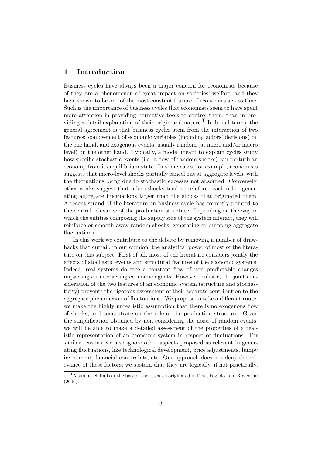# 1 Introduction

Business cycles have always been a major concern for economists because of they are a phenomenon of great impact on societies' welfare, and they have shown to be one of the most constant feature of economies across time. Such is the importance of business cycles that economists seem to have spent more attention in providing normative tools to control them, than in pro-viding a detail explanation of their origin and nature.<sup>[1](#page-2-0)</sup> In broad terms, the general agreement is that business cycles stem from the interaction of two features: comovement of economic variables (including actors' decisions) on the one hand, and exogenous events, usually random (at micro and/or macro level) on the other hand. Typically, a model meant to explain cycles study how specific stochastic events (i.e. a flow of random shocks) can perturb an economy from its equilibrium state. In some cases, for example, economists suggests that micro-level shocks partially cancel out at aggregate levels, with the fluctuations being due to stochastic excesses not absorbed. Conversely, other works suggest that micro-shocks tend to reinforce each other generating aggregate fluctuations larger than the shocks that originated them. A recent strand of the literature on business cycle has correctly pointed to the central relevance of the production structure. Depending on the way in which the entities composing the supply side of the system interact, they will reinforce or smooth away random shocks, generating or dumping aggregate fluctuations.

In this work we contribute to the debate by removing a number of drawbacks that curtail, in our opinion, the analytical power of most of the literature on this subject. First of all, most of the literature considers jointly the effects of stochastic events and structural features of the economic systems. Indeed, real systems do face a constant flow of non predictable changes impacting on interacting economic agents. However realistic, the joint consideration of the two features of an economic system (structure and stochasticity) prevents the rigorous assessment of their separate contribution to the aggregate phenomenon of fluctuations. We propose to take a different route: we make the highly unrealistic assumption that there is no exogenous flow of shocks, and concentrate on the role of the production structure. Given the simplification obtained by non considering the noise of random events, we will be able to make a detailed assessment of the properties of a realistic representation of an economic system in respect of fluctuations. For similar reasons, we also ignore other aspects proposed as relevant in generating fluctuations, like technological development, price adjustments, lumpy investment, financial constraints, etc. Our approach does not deny the relevance of these factors; we sustain that they are logically, if not practically,

<span id="page-2-0"></span> $1<sup>1</sup>A$  similar claim is at the base of the research originated in Dosi, Fagiolo, and Roventini (2006).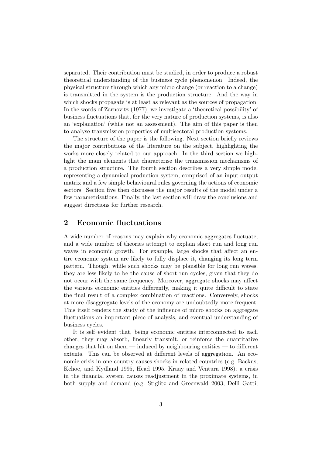separated. Their contribution must be studied, in order to produce a robust theoretical understanding of the business cycle phenomenon. Indeed, the physical structure through which any micro change (or reaction to a change) is transmitted in the system is the production structure. And the way in which shocks propagate is at least as relevant as the sources of propagation. In the words of Zarnovitz (1977), we investigate a 'theoretical possibility' of business fluctuations that, for the very nature of production systems, is also an 'explanation' (while not an assessment). The aim of this paper is then to analyse transmission properties of multisectoral production systems.

The structure of the paper is the following. Next section briefly reviews the major contributions of the literature on the subject, highlighting the works more closely related to our approach. In the third section we highlight the main elements that characterise the transmission mechanisms of a production structure. The fourth section describes a very simple model representing a dynamical production system, comprised of an input-output matrix and a few simple behavioural rules governing the actions of economic sectors. Section five then discusses the major results of the model under a few parametrisations. Finally, the last section will draw the conclusions and suggest directions for further research.

# 2 Economic fluctuations

A wide number of reasons may explain why economic aggregates fluctuate, and a wide number of theories attempt to explain short run and long run waves in economic growth. For example, large shocks that affect an entire economic system are likely to fully displace it, changing its long term pattern. Though, while such shocks may be plausible for long run waves, they are less likely to be the cause of short run cycles, given that they do not occur with the same frequency. Moreover, aggregate shocks may affect the various economic entities differently, making it quite difficult to state the final result of a complex combination of reactions. Conversely, shocks at more disaggregate levels of the economy are undoubtedly more frequent. This itself renders the study of the influence of micro shocks on aggregate fluctuations an important piece of analysis, and eventual understanding of business cycles.

It is self–evident that, being economic entities interconnected to each other, they may absorb, linearly transmit, or reinforce the quantitative changes that hit on them — induced by neighbouring entities — to different extents. This can be observed at different levels of aggregation. An economic crisis in one country causes shocks in related countries (e.g. Backus, Kehoe, and Kydland 1995, Head 1995, Kraay and Ventura 1998); a crisis in the financial system causes readjustment in the proximate systems, in both supply and demand (e.g. Stiglitz and Greenwald 2003, Delli Gatti,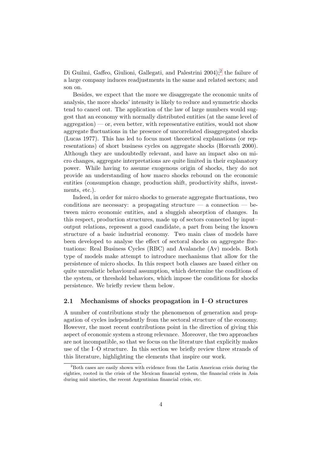Di Guilmi, Gaffeo, Giulioni, Gallegati, and Palestrini [2](#page-4-0)004);<sup>2</sup> the failure of a large company induces readjustments in the same and related sectors; and son on.

Besides, we expect that the more we disaggregate the economic units of analysis, the more shocks' intensity is likely to reduce and symmetric shocks tend to cancel out. The application of the law of large numbers would suggest that an economy with normally distributed entities (at the same level of  $\alpha$  aggregation) — or, even better, with representative entities, would not show aggregate fluctuations in the presence of uncorrelated disaggregated shocks (Lucas 1977). This has led to focus most theoretical explanations (or representations) of short business cycles on aggregate shocks (Horvath 2000). Although they are undoubtedly relevant, and have an impact also on micro changes, aggregate interpretations are quite limited in their explanatory power. While having to assume exogenous origin of shocks, they do not provide an understanding of how macro shocks rebound on the economic entities (consumption change, production shift, productivity shifts, investments, etc.).

Indeed, in order for micro shocks to generate aggregate fluctuations, two conditions are necessary: a propagating structure  $-$  a connection  $-$  between micro economic entities, and a sluggish absorption of changes. In this respect, production structures, made up of sectors connected by input– output relations, represent a good candidate, a part from being the known structure of a basic industrial economy. Two main class of models have been developed to analyse the effect of sectoral shocks on aggregate fluctuations: Real Business Cycles (RBC) and Avalanche (Av) models. Both type of models make attempt to introduce mechanisms that allow for the persistence of micro shocks. In this respect both classes are based either on quite unrealistic behavioural assumption, which determine the conditions of the system, or threshold behaviors, which impose the conditions for shocks persistence. We briefly review them below.

#### 2.1 Mechanisms of shocks propagation in I–O structures

A number of contributions study the phenomenon of generation and propagation of cycles independently from the sectoral structure of the economy. However, the most recent contributions point in the direction of giving this aspect of economic system a strong relevance. Moreover, the two approaches are not incompatible, so that we focus on the literature that explicitly makes use of the I–O structure. In this section we briefly review three strands of this literature, highlighting the elements that inspire our work.

<span id="page-4-0"></span><sup>2</sup>Both cases are easily shown with evidence from the Latin American crisis during the eighties, rooted in the crisis of the Mexican financial system, the financial crisis in Asia during mid nineties, the recent Argentinian financial crisis, etc.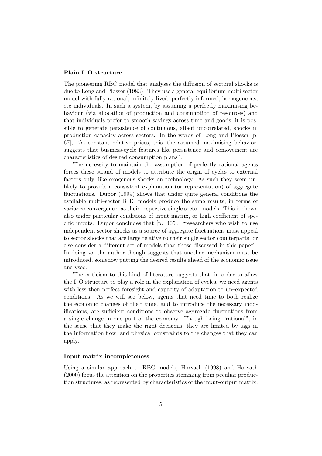#### Plain I–O structure

The pioneering RBC model that analyses the diffusion of sectoral shocks is due to Long and Plosser (1983). They use a general equilibrium multi sector model with fully rational, infinitely lived, perfectly informed, homogeneous, etc individuals. In such a system, by assuming a perfectly maximising behaviour (via allocation of production and consumption of resources) and that individuals prefer to smooth savings across time and goods, it is possible to generate persistence of continuous, albeit uncorrelated, shocks in production capacity across sectors. In the words of Long and Plosser [p. 67], "At constant relative prices, this [the assumed maximising behavior] suggests that business-cycle features like persistence and comovement are characteristics of desired consumption plans".

The necessity to maintain the assumption of perfectly rational agents forces these strand of models to attribute the origin of cycles to external factors only, like exogenous shocks on technology. As such they seem unlikely to provide a consistent explanation (or representation) of aggregate fluctuations. Dupor (1999) shows that under quite general conditions the available multi–sector RBC models produce the same results, in terms of variance convergence, as their respective single sector models. This is shown also under particular conditions of input matrix, or high coefficient of specific inputs. Dupor concludes that  $[p, 405]$ : "researchers who wish to use independent sector shocks as a source of aggregate fluctuations must appeal to sector shocks that are large relative to their single sector counterparts, or else consider a different set of models than those discussed in this paper". In doing so, the author though suggests that another mechanism must be introduced, somehow putting the desired results ahead of the economic issue analysed.

The criticism to this kind of literature suggests that, in order to allow the I–O structure to play a role in the explanation of cycles, we need agents with less then perfect foresight and capacity of adaptation to un–expected conditions. As we will see below, agents that need time to both realize the economic changes of their time, and to introduce the necessary modifications, are sufficient conditions to observe aggregate fluctuations from a single change in one part of the economy. Though being "rational", in the sense that they make the right decisions, they are limited by lags in the information flow, and physical constraints to the changes that they can apply.

#### Input matrix incompleteness

Using a similar approach to RBC models, Horvath (1998) and Horvath (2000) focus the attention on the properties stemming from peculiar production structures, as represented by characteristics of the input-output matrix.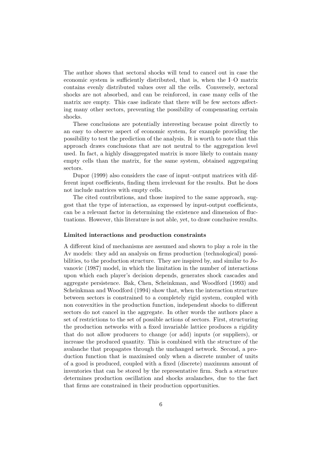The author shows that sectoral shocks will tend to cancel out in case the economic system is sufficiently distributed, that is, when the I–O matrix contains evenly distributed values over all the cells. Conversely, sectoral shocks are not absorbed, and can be reinforced, in case many cells of the matrix are empty. This case indicate that there will be few sectors affecting many other sectors, preventing the possibility of compensating certain shocks.

These conclusions are potentially interesting because point directly to an easy to observe aspect of economic system, for example providing the possibility to test the prediction of the analysis. It is worth to note that this approach draws conclusions that are not neutral to the aggregation level used. In fact, a highly disaggregated matrix is more likely to contain many empty cells than the matrix, for the same system, obtained aggregating sectors.

Dupor (1999) also considers the case of input–output matrices with different input coefficients, finding them irrelevant for the results. But he does not include matrices with empty cells.

The cited contributions, and those inspired to the same approach, suggest that the type of interaction, as expressed by input-output coefficients, can be a relevant factor in determining the existence and dimension of fluctuations. However, this literature is not able, yet, to draw conclusive results.

#### Limited interactions and production constraints

A different kind of mechanisms are assumed and shown to play a role in the Av models: they add an analysis on firms production (technological) possibilities, to the production structure. They are inspired by, and similar to Jovanovic (1987) model, in which the limitation in the number of interactions upon which each player's decision depends, generates shock cascades and aggregate persistence. Bak, Chen, Scheinkman, and Woodford (1993) and Scheinkman and Woodford (1994) show that, when the interaction structure between sectors is constrained to a completely rigid system, coupled with non convexities in the production function, independent shocks to different sectors do not cancel in the aggregate. In other words the authors place a set of restrictions to the set of possible actions of sectors. First, structuring the production networks with a fixed invariable lattice produces a rigidity that do not allow producers to change (or add) inputs (or suppliers), or increase the produced quantity. This is combined with the structure of the avalanche that propagates through the unchanged network. Second, a production function that is maximised only when a discrete number of units of a good is produced, coupled with a fixed (discrete) maximum amount of inventories that can be stored by the representative firm. Such a structure determines production oscillation and shocks avalanches, due to the fact that firms are constrained in their production opportunities.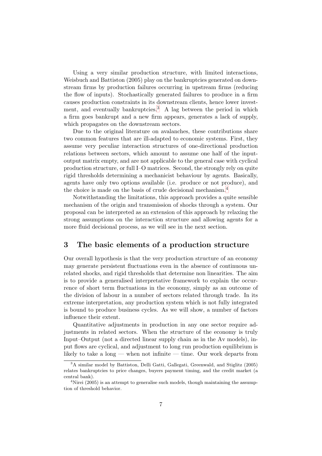Using a very similar production structure, with limited interactions, Weisbuch and Battiston (2005) play on the bankruptcies generated on downstream firms by production failures occurring in upstream firms (reducing the flow of inputs). Stochastically generated failures to produce in a firm causes production constraints in its downstream clients, hence lower invest-ment, and eventually bankruptcies.<sup>[3](#page-7-0)</sup> A lag between the period in which a firm goes bankrupt and a new firm appears, generates a lack of supply, which propagates on the downstream sectors.

Due to the original literature on avalanches, these contributions share two common features that are ill-adapted to economic systems. First, they assume very peculiar interaction structures of one-directional production relations between sectors, which amount to assume one half of the inputoutput matrix empty, and are not applicable to the general case with cyclical production structure, or full I–O matrices. Second, the strongly rely on quite rigid thresholds determining a mechanicist behaviour by agents. Basically, agents have only two options available (i.e. produce or not produce), and the choice is made on the basis of crude decisional mechanism. [4](#page-7-1)

Notwithstanding the limitations, this approach provides a quite sensible mechanism of the origin and transmission of shocks through a system. Our proposal can be interpreted as an extension of this approach by relaxing the strong assumptions on the interaction structure and allowing agents for a more fluid decisional process, as we will see in the next section.

## <span id="page-7-2"></span>3 The basic elements of a production structure

Our overall hypothesis is that the very production structure of an economy may generate persistent fluctuations even in the absence of continuous unrelated shocks, and rigid thresholds that determine non linearities. The aim is to provide a generalised interpretative framework to explain the occurrence of short term fluctuations in the economy, simply as an outcome of the division of labour in a number of sectors related through trade. In its extreme interpretation, any production system which is not fully integrated is bound to produce business cycles. As we will show, a number of factors influence their extent.

Quantitative adjustments in production in any one sector require adjustments in related sectors. When the structure of the economy is truly Input–Output (not a directed linear supply chain as in the Av models), input flows are cyclical, and adjustment to long run production equilibrium is likely to take a long — when not infinite — time. Our work departs from

<span id="page-7-0"></span><sup>3</sup>A similar model by Battiston, Delli Gatti, Gallegati, Greenwald, and Stiglitz (2005) relates bankruptcies to price changes, buyers payment timing, and the credit market (a central bank).

<span id="page-7-1"></span><sup>&</sup>lt;sup>4</sup>Nirei (2005) is an attempt to generalise such models, though maintaining the assumption of threshold behavior.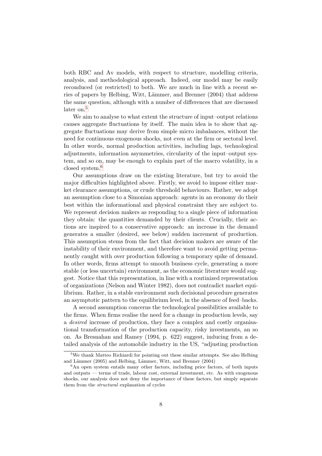both RBC and Av models, with respect to structure, modelling criteria, analysis, and methodological approach. Indeed, our model may be easily reconduced (or restricted) to both. We are much in line with a recent series of papers by Helbing, Witt, Lämmer, and Brenner (2004) that address the same question, although with a number of differences that are discussed later on.<sup>[5](#page-8-0)</sup>

We aim to analyse to what extent the structure of input–output relations causes aggregate fluctuations by itself. The main idea is to show that aggregate fluctuations may derive from simple micro imbalances, without the need for continuous exogenous shocks, not even at the firm or sectoral level. In other words, normal production activities, including lags, technological adjustments, information asymmetries, circularity of the input–output system, and so on, may be enough to explain part of the macro volatility, in a closed system.[6](#page-8-1)

Our assumptions draw on the existing literature, but try to avoid the major difficulties highlighted above. Firstly, we avoid to impose either market clearance assumptions, or crude threshold behaviours. Rather, we adopt an assumption close to a Simonian approach: agents in an economy do their best within the informational and physical constraint they are subject to. We represent decision makers as responding to a single piece of information they obtain: the quantities demanded by their clients. Crucially, their actions are inspired to a conservative approach: an increase in the demand generates a smaller (desired, see below) sudden increment of production. This assumption stems from the fact that decision makers are aware of the instability of their environment, and therefore want to avoid getting permanently caught with over production following a temporary spike of demand. In other words, firms attempt to smooth business cycle, generating a more stable (or less uncertain) environment, as the economic literature would suggest. Notice that this representation, in line with a routinized representation of organizations (Nelson and Winter 1982), does not contradict market equilibrium. Rather, in a stable environment such decisional procedure generates an asymptotic pattern to the equilibrium level, in the absence of feed–backs.

A second assumption concerns the technological possibilities available to the firms. When firms realise the need for a change in production levels, say a desired increase of production, they face a complex and costly organisational transformation of the production capacity, risky investments, an so on. As Bresnahan and Ramey (1994, p. 622) suggest, inducing from a detailed analysis of the automobile industry in the US, "adjusting production

<span id="page-8-0"></span><sup>5</sup>We thank Matteo Richiardi for pointing out these similar attempts. See also Helbing and Lämmer  $(2005)$  and Helbing, Lämmer, Witt, and Brenner  $(2004)$ 

<span id="page-8-1"></span><sup>&</sup>lt;sup>6</sup>An open system entails many other factors, including price factors, of both inputs and outputs — terms of trade, labour cost, external investment, etc. As with exogenous shocks, our analysis does not deny the importance of these factors, but simply separate them from the structural explanation of cycles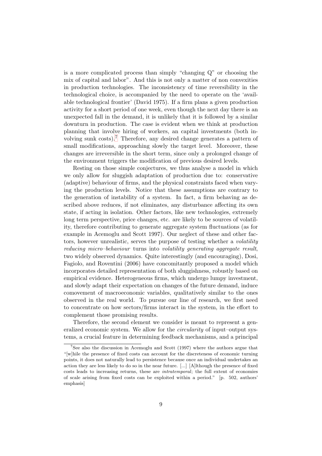is a more complicated process than simply "changing Q" or choosing the mix of capital and labor". And this is not only a matter of non convexities in production technologies. The inconsistency of time reversibility in the technological choice, is accompanied by the need to operate on the 'available technological frontier' (David 1975). If a firm plans a given production activity for a short period of one week, even though the next day there is an unexpected fall in the demand, it is unlikely that it is followed by a similar downturn in production. The case is evident when we think at production planning that involve hiring of workers, an capital investments (both involving sunk costs).[7](#page-9-0) Therefore, any desired change generates a pattern of small modifications, approaching slowly the target level. Moreover, these changes are irreversible in the short term, since only a prolonged change of the environment triggers the modification of previous desired levels.

Resting on those simple conjectures, we thus analyse a model in which we only allow for sluggish adaptation of production due to: conservative (adaptive) behaviour of firms, and the physical constraints faced when varying the production levels. Notice that these assumptions are contrary to the generation of instability of a system. In fact, a firm behaving as described above reduces, if not eliminates, any disturbance affecting its own state, if acting in isolation. Other factors, like new technologies, extremely long term perspective, price changes, etc. are likely to be sources of volatility, therefore contributing to generate aggregate system fluctuations (as for example in Acemoglu and Scott 1997). Our neglect of these and other factors, however unrealistic, serves the purpose of testing whether a volatility reducing micro–behaviour turns into volatility generating aggregate result, two widely observed dynamics. Quite interestingly (and encouraging), Dosi, Fagiolo, and Roventini (2006) have concomitantly proposed a model which incorporates detailed representation of both sluggishness, robustly based on empirical evidence. Heterogeneous firms, which undergo lumpy investment, and slowly adapt their expectation on changes of the future demand, induce comovement of macroeconomic variables, qualitatively similar to the ones observed in the real world. To pursue our line of research, we first need to concentrate on how sectors/firms interact in the system, in the effort to complement those promising results.

Therefore, the second element we consider is meant to represent a generalized economic system. We allow for the *circularity* of input–output systems, a crucial feature in determining feedback mechanisms, and a principal

<span id="page-9-0"></span><sup>7</sup>See also the discussion in Acemoglu and Scott (1997) where the authors argue that "[w]hile the presence of fixed costs can account for the discreteness of economic turning points, it does not naturally lead to persistence because once an individual undertakes an action they are less likely to do so in the near future. [...] [A]lthough the presence of fixed costs leads to increasing returns, these are intratemporal; the full extent of economies of scale arising from fixed costs can be exploited within a period." [p. 502, authors' emphasis]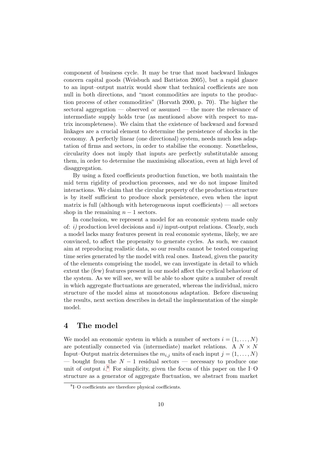component of business cycle. It may be true that most backward linkages concern capital goods (Weisbuch and Battiston 2005), but a rapid glance to an input–output matrix would show that technical coefficients are non null in both directions, and "most commodities are inputs to the production process of other commodities" (Horvath 2000, p. 70). The higher the sectoral aggregation — observed or assumed — the more the relevance of intermediate supply holds true (as mentioned above with respect to matrix incompleteness). We claim that the existence of backward and forward linkages are a crucial element to determine the persistence of shocks in the economy. A perfectly linear (one directional) system, needs much less adaptation of firms and sectors, in order to stabilise the economy. Nonetheless, circularity does not imply that inputs are perfectly substitutable among them, in order to determine the maximising allocation, even at high level of disaggregation.

By using a fixed coefficients production function, we both maintain the mid term rigidity of production processes, and we do not impose limited interactions. We claim that the circular property of the production structure is by itself sufficient to produce shock persistence, even when the input matrix is full (although with heterogeneous input coefficients) — all sectors shop in the remaining  $n-1$  sectors.

In conclusion, we represent a model for an economic system made only of:  $i$ ) production level decisions and  $ii$ ) input-output relations. Clearly, such a model lacks many features present in real economic systems, likely, we are convinced, to affect the propensity to generate cycles. As such, we cannot aim at reproducing realistic data, so our results cannot be tested comparing time series generated by the model with real ones. Instead, given the paucity of the elements comprising the model, we can investigate in detail to which extent the (few) features present in our model affect the cyclical behaviour of the system. As we will see, we will be able to show quite a number of result in which aggregate fluctuations are generated, whereas the individual, micro structure of the model aims at monotonous adaptation. Before discussing the results, next section describes in detail the implementation of the simple model.

## 4 The model

We model an economic system in which a number of sectors  $i = (1, \ldots, N)$ are potentially connected via (intermediate) market relations. A  $N \times N$ Input–Output matrix determines the  $m_{i,j}$  units of each input  $j = (1, \ldots, N)$ — bought from the  $N-1$  residual sectors — necessary to produce one unit of output  $i$ .<sup>[8](#page-10-0)</sup> For simplicity, given the focus of this paper on the I–O structure as a generator of aggregate fluctuation, we abstract from market

<span id="page-10-0"></span><sup>8</sup> I–O coefficients are therefore physical coefficients.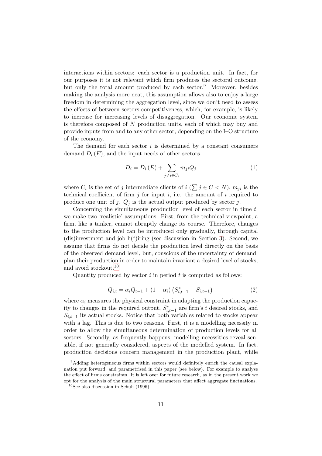interactions within sectors: each sector is a production unit. In fact, for our purposes it is not relevant which firm produces the sectoral outcome, but only the total amount produced by each sector.<sup>[9](#page-11-0)</sup> Moreover, besides making the analysis more neat, this assumption allows also to enjoy a large freedom in determining the aggregation level, since we don't need to assess the effects of between sectors competitiveness, which, for example, is likely to increase for increasing levels of disaggregation. Our economic system is therefore composed of N production units, each of which may buy and provide inputs from and to any other sector, depending on the I–O structure of the economy.

The demand for each sector  $i$  is determined by a constant consumers demand  $D_i(E)$ , and the input needs of other sectors.

$$
D_i = D_i(E) + \sum_{j \neq i \in C_i} m_{ji} Q_j \tag{1}
$$

where  $C_i$  is the set of j intermediate clients of  $i \ (\sum j \in C \langle N \rangle, m_{ji}$  is the technical coefficient of firm  $j$  for input  $i$ , i.e. the amount of  $i$  required to produce one unit of j.  $Q_i$  is the actual output produced by sector j.

Concerning the simultaneous production level of each sector in time  $t$ , we make two 'realistic' assumptions. First, from the technical viewpoint, a firm, like a tanker, cannot abruptly change its course. Therefore, changes to the production level can be introduced only gradually, through capital (dis)investment and job h(f)iring (see discussion in Section [3\)](#page-7-2). Second, we assume that firms do not decide the production level directly on the basis of the observed demand level, but, conscious of the uncertainty of demand, plan their production in order to maintain invariant a desired level of stocks, and avoid stockout.[10](#page-11-1)

Quantity produced by sector  $i$  in period  $t$  is computed as follows:

$$
Q_{i,t} = \alpha_i Q_{t-1} + (1 - \alpha_i) \left( S_{i,t-1}^* - S_{i,t-1} \right) \tag{2}
$$

where  $\alpha_i$  measures the physical constraint in adapting the production capacity to changes in the required output,  $S_{i,t-1}^*$  are firm's i desired stocks, and  $S_{i,t-1}$  its actual stocks. Notice that both variables related to stocks appear with a lag. This is due to two reasons. First, it is a modelling necessity in order to allow the simultaneous determination of production levels for all sectors. Secondly, as frequently happens, modelling necessities reveal sensible, if not generally considered, aspects of the modelled system. In fact, production decisions concern management in the production plant, while

<span id="page-11-0"></span><sup>&</sup>lt;sup>9</sup>Adding heterogeneous firms within sectors would definitely enrich the causal explanation put forward, and parametrised in this paper (see below). For example to analyse the effect of firms constraints. It is left over for future research, as in the present work we opt for the analysis of the main structural parameters that affect aggregate fluctuations.

<span id="page-11-1"></span> $10$ See also discussion in Schuh (1996).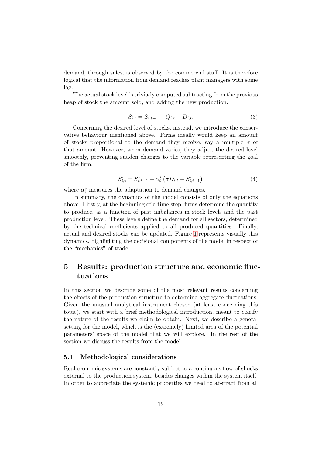demand, through sales, is observed by the commercial staff. It is therefore logical that the information from demand reaches plant managers with some lag.

The actual stock level is trivially computed subtracting from the previous heap of stock the amount sold, and adding the new production.

$$
S_{i,t} = S_{i,t-1} + Q_{i,t} - D_{i,t}.
$$
\n(3)

Concerning the desired level of stocks, instead, we introduce the conservative behaviour mentioned above. Firms ideally would keep an amount of stocks proportional to the demand they receive, say a multiple  $\sigma$  of that amount. However, when demand varies, they adjust the desired level smoothly, preventing sudden changes to the variable representing the goal of the firm.

$$
S_{i,t}^* = S_{i,t-1}^* + \alpha_i^s \left(\sigma D_{i,t} - S_{i,t-1}^*\right) \tag{4}
$$

where  $\alpha_i^s$  measures the adaptation to demand changes.

In summary, the dynamics of the model consists of only the equations above. Firstly, at the beginning of a time step, firms determine the quantity to produce, as a function of past imbalances in stock levels and the past production level. These levels define the demand for all sectors, determined by the technical coefficients applied to all produced quantities. Finally, actual and desired stocks can be updated. Figure [1](#page-13-0) represents visually this dynamics, highlighting the decisional components of the model in respect of the "mechanics" of trade.

# 5 Results: production structure and economic fluctuations

In this section we describe some of the most relevant results concerning the effects of the production structure to determine aggregate fluctuations. Given the unusual analytical instrument chosen (at least concerning this topic), we start with a brief methodological introduction, meant to clarify the nature of the results we claim to obtain. Next, we describe a general setting for the model, which is the (extremely) limited area of the potential parameters' space of the model that we will explore. In the rest of the section we discuss the results from the model.

#### 5.1 Methodological considerations

Real economic systems are constantly subject to a continuous flow of shocks external to the production system, besides changes within the system itself. In order to appreciate the systemic properties we need to abstract from all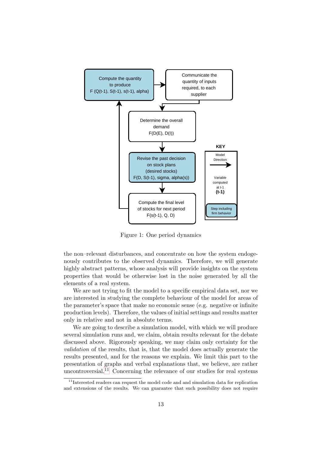

<span id="page-13-0"></span>Figure 1: One period dynamics

the non–relevant disturbances, and concentrate on how the system endogenously contributes to the observed dynamics. Therefore, we will generate highly abstract patterns, whose analysis will provide insights on the system properties that would be otherwise lost in the noise generated by all the elements of a real system.

We are not trying to fit the model to a specific empirical data set, nor we are interested in studying the complete behaviour of the model for areas of the parameter's space that make no economic sense (e.g. negative or infinite production levels). Therefore, the values of initial settings and results matter only in relative and not in absolute terms.

We are going to describe a simulation model, with which we will produce several simulation runs and, we claim, obtain results relevant for the debate discussed above. Rigorously speaking, we may claim only certainty for the validation of the results, that is, that the model does actually generate the results presented, and for the reasons we explain. We limit this part to the presentation of graphs and verbal explanations that, we believe, are rather uncontroversial.<sup>[11](#page-13-1)</sup> Concerning the relevance of our studies for real systems

<span id="page-13-1"></span> $11$ Interested readers can request the model code and and simulation data for replication and extensions of the results. We can guarantee that such possibility does not require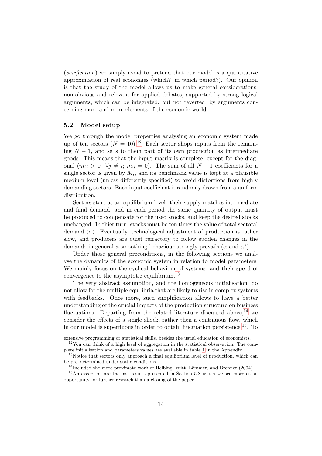(verification) we simply avoid to pretend that our model is a quantitative approximation of real economies (which? in which period?). Our opinion is that the study of the model allows us to make general considerations, non-obvious and relevant for applied debates, supported by strong logical arguments, which can be integrated, but not reverted, by arguments concerning more and more elements of the economic world.

#### 5.2 Model setup

We go through the model properties analysing an economic system made up of ten sectors  $(N = 10)^{12}$  $(N = 10)^{12}$  $(N = 10)^{12}$  Each sector shops inputs from the remaining  $N-1$ , and sells to them part of its own production as intermediate goods. This means that the input matrix is complete, except for the diagonal  $(m_{ij} > 0 \ \forall j \neq i; m_{ii} = 0)$ . The sum of all  $N - 1$  coefficients for a single sector is given by  $M_i$ , and its benchmark value is kept at a plausible medium level (unless differently specified) to avoid distortions from highly demanding sectors. Each input coefficient is randomly drawn from a uniform distribution.

Sectors start at an equilibrium level: their supply matches intermediate and final demand, and in each period the same quantity of output must be produced to compensate for the used stocks, and keep the desired stocks unchanged. In thier turn, stocks must be ten times the value of total sectoral demand  $(\sigma)$ . Eventually, technological adjustment of production is rather slow, and producers are quiet refractory to follow sudden changes in the demand: in general a smoothing behaviour strongly prevails ( $\alpha$  and  $\alpha^s$ ).

Under those general preconditions, in the following sections we analyse the dynamics of the economic system in relation to model parameters. We mainly focus on the cyclical behaviour of systems, and their speed of convergence to the asymptotic equilibrium.[13](#page-14-1)

The very abstract assumption, and the homogeneous initialisation, do not allow for the multiple equilibria that are likely to rise in complex systems with feedbacks. Once more, such simplification allows to have a better understanding of the crucial impacts of the production structure on business fluctuations. Departing from the related literature discussed above.<sup>[14](#page-14-2)</sup> we consider the effects of a single shock, rather then a continuous flow, which in our model is superfluous in order to obtain fluctuation persistence,  $^{15}$  $^{15}$  $^{15}$ . To

extensive programming or statistical skills, besides the usual education of economists.

<span id="page-14-0"></span> $12$ You can think of a high level of aggregation in the statistical observation. The complete initialisation and parameters values are available in table [1](#page-31-0) in the Appendix.

<span id="page-14-1"></span><sup>&</sup>lt;sup>13</sup>Notice that sectors only approach a final equilibrium level of production, which can be pre–determined under static conditions.

 $14$ Included the more proximate work of Helbing, Witt, Lämmer, and Brenner (2004).

<span id="page-14-3"></span><span id="page-14-2"></span><sup>15</sup>An exception are the last results presented in Section [5.8](#page-22-0) which we see more as an opportunity for further research than a closing of the paper.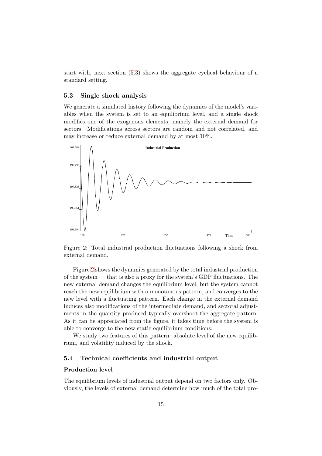start with, next section [\(5.3\)](#page-15-0) shows the aggregate cyclical behaviour of a standard setting.

#### <span id="page-15-0"></span>5.3 Single shock analysis

We generate a simulated history following the dynamics of the model's variables when the system is set to an equilibrium level, and a single shock modifies one of the exogenous elements, namely the external demand for sectors. Modifications across sectors are random and not correlated, and may increase or reduce external demand by at most 10%.



<span id="page-15-1"></span>Figure 2: Total industrial production fluctuations following a shock from external demand.

Figure [2](#page-15-1) shows the dynamics generated by the total industrial production of the system — that is also a proxy for the system's GDP fluctuations. The new external demand changes the equilibrium level, but the system cannot reach the new equilibrium with a monotonous pattern, and converges to the new level with a fluctuating pattern. Each change in the external demand induces also modifications of the intermediate demand, and sectoral adjustments in the quantity produced typically overshoot the aggregate pattern. As it can be appreciated from the figure, it takes time before the system is able to converge to the new static equilibrium conditions.

We study two features of this pattern: absolute level of the new equilibrium, and volatility induced by the shock.

#### 5.4 Technical coefficients and industrial output

#### Production level

The equilibrium levels of industrial output depend on two factors only. Obviously, the levels of external demand determine how much of the total pro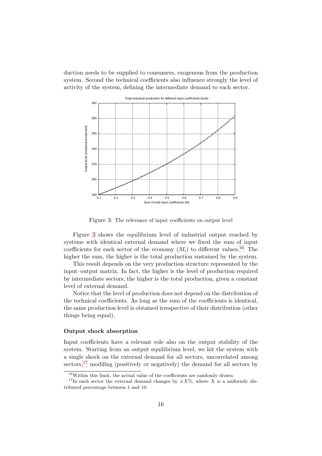duction needs to be supplied to consumers, exogenous from the production system. Second the technical coefficients also influence strongly the level of activity of the system, defining the intermediate demand to each sector.



<span id="page-16-0"></span>Figure 3: The relevance of input coefficients on output level

Figure [3](#page-16-0) shows the equilibrium level of industrial output reached by systems with identical external demand where we fixed the sum of input coefficients for each sector of the economy  $(M_i)$  to different values.<sup>[16](#page-16-1)</sup> The higher the sum, the higher is the total production sustained by the system.

This result depends on the very production structure represented by the input–output matrix. In fact, the higher is the level of production required by intermediate sectors, the higher is the total production, given a constant level of external demand.

Notice that the level of production does not depend on the distribution of the technical coefficients. As long as the sum of the coefficients is identical, the same production level is obtained irrespective of their distribution (other things being equal).

#### Output shock absorption

Input coefficients have a relevant role also on the output stability of the system. Starting from an output equilibrium level, we hit the system with a single shock on the external demand for all sectors, uncorrelated among  $\gamma$  sectors,<sup>[17](#page-16-2)</sup> modifing (positively or negatively) the demand for all sectors by

<sup>&</sup>lt;sup>16</sup>Within this limit, the actual value of the coefficients are randomly drawn.

<span id="page-16-2"></span><span id="page-16-1"></span><sup>&</sup>lt;sup>17</sup>In each sector the external demand changes by  $\pm X\%$ , where X is a uniformly distributed percentage between 1 and 10.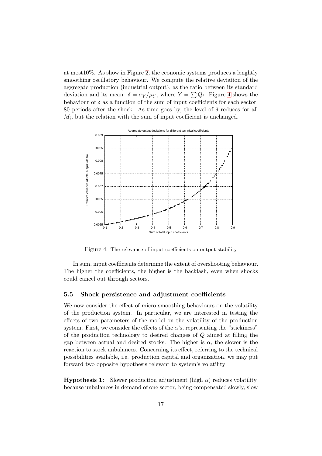at most10%. As show in Figure [2,](#page-15-1) the economic systems produces a lenghtly smoothing oscillatory behaviour. We compute the relative deviation of the aggregate production (industrial output), as the ratio between its standard deviation and its mean:  $\delta = \sigma_Y/\mu_Y$ , where  $Y = \sum Q_i$ . Figure [4](#page-17-0) shows the behaviour of  $\delta$  as a function of the sum of input coefficients for each sector, 80 periods after the shock. As time goes by, the level of  $\delta$  reduces for all  $M_i$ , but the relation with the sum of input coefficient is unchanged.



Figure 4: The relevance of input coefficients on output stability

<span id="page-17-0"></span>In sum, input coefficients determine the extent of overshooting behaviour. The higher the coefficients, the higher is the backlash, even when shocks could cancel out through sectors.

#### 5.5 Shock persistence and adjustment coefficients

We now consider the effect of micro smoothing behaviours on the volatility of the production system. In particular, we are interested in testing the effects of two parameters of the model on the volatility of the production system. First, we consider the effects of the  $\alpha$ 's, representing the "stickiness" of the production technology to desired changes of Q aimed at filling the gap between actual and desired stocks. The higher is  $\alpha$ , the slower is the reaction to stock unbalances. Concerning its effect, referring to the technical possibilities available, i.e. production capital and organization, we may put forward two opposite hypothesis relevant to system's volatility:

**Hypothesis 1:** Slower production adjustment (high  $\alpha$ ) reduces volatility, because unbalances in demand of one sector, being compensated slowly, slow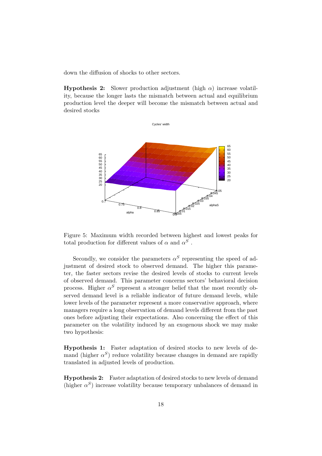down the diffusion of shocks to other sectors.

**Hypothesis 2:** Slower production adjustment (high  $\alpha$ ) increase volatility, because the longer lasts the mismatch between actual and equilibrium production level the deeper will become the mismatch between actual and desired stocks



<span id="page-18-0"></span>

Secondly, we consider the parameters  $\alpha^S$  representing the speed of adjustment of desired stock to observed demand. The higher this parameter, the faster sectors revise the desired levels of stocks to current levels of observed demand. This parameter concerns sectors' behavioral decision process. Higher  $\alpha^S$  represent a stronger belief that the most recently observed demand level is a reliable indicator of future demand levels, while lower levels of the parameter represent a more conservative approach, where managers require a long observation of demand levels different from the past ones before adjusting their expectations. Also concerning the effect of this parameter on the volatility induced by an exogenous shock we may make two hypothesis:

Hypothesis 1: Faster adaptation of desired stocks to new levels of demand (higher  $\alpha^S$ ) reduce volatility because changes in demand are rapidly translated in adjusted levels of production.

Hypothesis 2: Faster adaptation of desired stocks to new levels of demand (higher  $\alpha^S$ ) increase volatility because temporary unbalances of demand in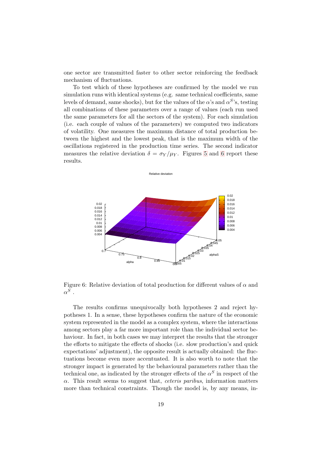one sector are transmitted faster to other sector reinforcing the feedback mechanism of fluctuations.

To test which of these hypotheses are confirmed by the model we run simulation runs with identical systems (e.g. same technical coefficients, same levels of demand, same shocks), but for the values of the  $\alpha$ 's and  $\alpha^{S}$ 's, testing all combinations of these parameters over a range of values (each run used the same parameters for all the sectors of the system). For each simulation (i.e. each couple of values of the parameters) we computed two indicators of volatility. One measures the maximum distance of total production between the highest and the lowest peak, that is the maximum width of the oscillations registered in the production time series. The second indicator measures the relative deviation  $\delta = \sigma_Y/\mu_Y$ . Figures [5](#page-18-0) and [6](#page-19-0) report these results.



<span id="page-19-0"></span>Figure 6: Relative deviation of total production for different values of  $\alpha$  and  $\alpha^S$  .

The results confirms unequivocally both hypotheses 2 and reject hypotheses 1. In a sense, these hypotheses confirm the nature of the economic system represented in the model as a complex system, where the interactions among sectors play a far more important role than the individual sector behaviour. In fact, in both cases we may interpret the results that the stronger the efforts to mitigate the effects of shocks (i.e. slow production's and quick expectations' adjustment), the opposite result is actually obtained: the fluctuations become even more accentuated. It is also worth to note that the stronger impact is generated by the behavioural parameters rather than the technical one, as indicated by the stronger effects of the  $\alpha^{S}$  in respect of the  $\alpha$ . This result seems to suggest that, *ceteris paribus*, information matters more than technical constraints. Though the model is, by any means, in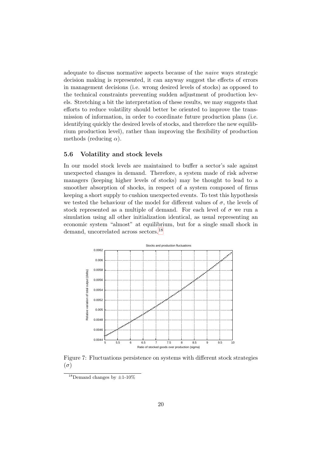adequate to discuss normative aspects because of the naive ways strategic decision making is represented, it can anyway suggest the effects of errors in management decisions (i.e. wrong desired levels of stocks) as opposed to the technical constraints preventing sudden adjustment of production levels. Stretching a bit the interpretation of these results, we may suggests that efforts to reduce volatility should better be oriented to improve the transmission of information, in order to coordinate future production plans (i.e. identifying quickly the desired levels of stocks, and therefore the new equilibrium production level), rather than improving the flexibility of production methods (reducing  $\alpha$ ).

#### 5.6 Volatility and stock levels

In our model stock levels are maintained to buffer a sector's sale against unexpected changes in demand. Therefore, a system made of risk adverse managers (keeping higher levels of stocks) may be thought to lead to a smoother absorption of shocks, in respect of a system composed of firms keeping a short supply to cushion unexpected events. To test this hypothesis we tested the behaviour of the model for different values of  $\sigma$ , the levels of stock represented as a multiple of demand. For each level of  $\sigma$  we run a simulation using all other initialization identical, as usual representing an economic system "almost" at equilibrium, but for a single small shock in demand, uncorrelated across sectors.[18](#page-20-0)



<span id="page-20-1"></span>Figure 7: Fluctuations persistence on systems with different stock strategies  $(\sigma)$ 

<span id="page-20-0"></span><sup>&</sup>lt;sup>18</sup>Demand changes by  $\pm$ 1-10%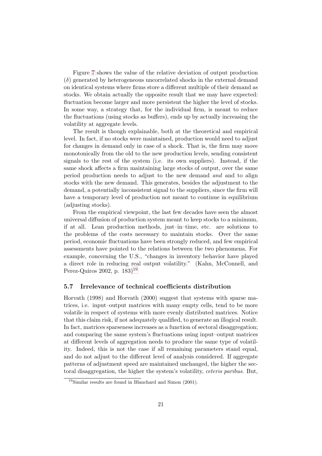Figure [7](#page-20-1) shows the value of the relative deviation of output production  $(\delta)$  generated by heterogeneous uncorrelated shocks in the external demand on identical systems where firms store a different multiple of their demand as stocks. We obtain actually the opposite result that we may have expected: fluctuation become larger and more persistent the higher the level of stocks. In some way, a strategy that, for the individual firm, is meant to reduce the fluctuations (using stocks as buffers), ends up by actually increasing the volatility at aggregate levels.

The result is though explainable, both at the theoretical and empirical level. In fact, if no stocks were maintained, production would need to adjust for changes in demand only in case of a shock. That is, the firm may move monotonically from the old to the new production levels, sending consistent signals to the rest of the system (i.e. its own suppliers). Instead, if the same shock affects a firm maintaining large stocks of output, over the same period production needs to adjust to the new demand and and to align stocks with the new demand. This generates, besides the adjustment to the demand, a potentially inconsistent signal to the suppliers, since the firm will have a temporary level of production not meant to continue in equilibrium (adjusting stocks).

From the empirical viewpoint, the last few decades have seen the almost universal diffusion of production system meant to keep stocks to a minimum, if at all. Lean production methods, just–in–time, etc. are solutions to the problems of the costs necessary to maintain stocks. Over the same period, economic fluctuations have been strongly reduced, and few empirical assessments have pointed to the relations between the two phenomena. For example, concerning the U.S., "changes in inventory behavior have played a direct role in reducing real output volatility." (Kahn, McConnell, and Perez-Quiros 2002, p.  $183$ <sup>[19](#page-21-0)</sup>

#### 5.7 Irrelevance of technical coefficients distribution

Horvath (1998) and Horvath (2000) suggest that systems with sparse matrices, i.e. input–output matrices with many empty cells, tend to be more volatile in respect of systems with more evenly distributed matrices. Notice that this claim risk, if not adequately qualified, to generate an illogical result. In fact, matrices sparseness increases as a function of sectoral disaggregation; and comparing the same system's fluctuations using input–output matrices at different levels of aggregation needs to produce the same type of volatility. Indeed, this is not the case if all remaining parameters stand equal, and do not adjust to the different level of analysis considered. If aggregate patterns of adjustment speed are maintained unchanged, the higher the sectoral disaggregation, the higher the system's volatility, ceteris paribus. But,

<span id="page-21-0"></span><sup>19</sup>Similar results are found in Blanchard and Simon (2001).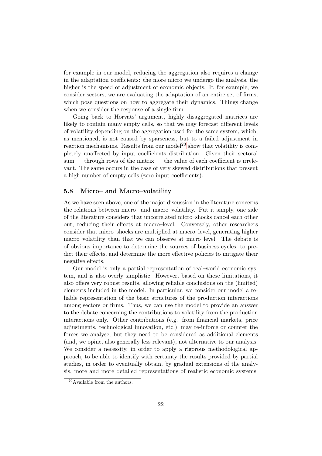for example in our model, reducing the aggregation also requires a change in the adaptation coefficients: the more micro we undergo the analysis, the higher is the speed of adjustment of economic objects. If, for example, we consider sectors, we are evaluating the adaptation of an entire set of firms, which pose questions on how to aggregate their dynamics. Things change when we consider the response of a single firm.

Going back to Horvats' argument, highly disaggregated matrices are likely to contain many empty cells, so that we may forecast different levels of volatility depending on the aggregation used for the same system, which, as mentioned, is not caused by sparseness, but to a failed adjustment in reaction mechanisms. Results from our model<sup>[20](#page-22-1)</sup> show that volatility is completely unaffected by input coefficients distribution. Given their sectoral sum — through rows of the matrix — the value of each coefficient is irrelevant. The same occurs in the case of very skewed distributions that present a high number of empty cells (zero input coefficients).

#### <span id="page-22-0"></span>5.8 Micro– and Macro–volatility

As we have seen above, one of the major discussion in the literature concerns the relations between micro– and macro–volatility. Put it simply, one side of the literature considers that uncorrelated micro–shocks cancel each other out, reducing their effects at macro–level. Conversely, other researchers consider that micro–shocks are multiplied at macro–level, generating higher macro–volatility than that we can observe at micro–level. The debate is of obvious importance to determine the sources of business cycles, to predict their effects, and determine the more effective policies to mitigate their negative effects.

Our model is only a partial representation of real–world economic system, and is also overly simplistic. However, based on these limitations, it also offers very robust results, allowing reliable conclusions on the (limited) elements included in the model. In particular, we consider our model a reliable representation of the basic structures of the production interactions among sectors or firms. Thus, we can use the model to provide an answer to the debate concerning the contributions to volatility from the production interactions only. Other contributions (e.g. from financial markets, price adjustments, technological innovation, etc.) may re-inforce or counter the forces we analyse, but they need to be considered as additional elements (and, we opine, also generally less relevant), not alternative to our analysis. We consider a necessity, in order to apply a rigorous methodological approach, to be able to identify with certainty the results provided by partial studies, in order to eventually obtain, by gradual extensions of the analysis, more and more detailed representations of realistic economic systems.

<span id="page-22-1"></span><sup>20</sup>Available from the authors.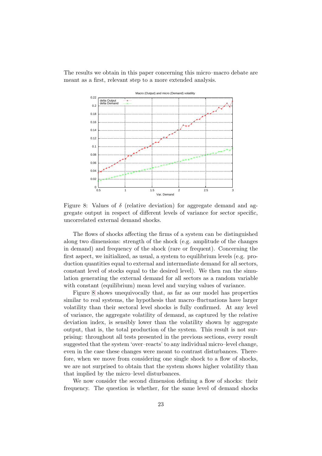The results we obtain in this paper concerning this micro–macro debate are meant as a first, relevant step to a more extended analysis.



<span id="page-23-0"></span>Figure 8: Values of  $\delta$  (relative deviation) for aggregate demand and aggregate output in respect of different levels of variance for sector specific, uncorrelated external demand shocks.

The flows of shocks affecting the firms of a system can be distinguished along two dimensions: strength of the shock (e.g. amplitude of the changes in demand) and frequency of the shock (rare or frequent). Concerning the first aspect, we initialized, as usual, a system to equilibrium levels (e.g. production quantities equal to external and intermediate demand for all sectors, constant level of stocks equal to the desired level). We then ran the simulation generating the external demand for all sectors as a random variable with constant (equilibrium) mean level and varying values of variance.

Figure [8](#page-23-0) shows unequivocally that, as far as our model has properties similar to real systems, the hypothesis that macro–fluctuations have larger volatility than their sectoral level shocks is fully confirmed. At any level of variance, the aggregate volatility of demand, as captured by the relative deviation index, is sensibly lower than the volatility shown by aggregate output, that is, the total production of the system. This result is not surprising: throughout all tests presented in the previous sections, every result suggested that the system 'over–reacts' to any individual micro–level change, even in the case these changes were meant to contrast disturbances. Therefore, when we move from considering one single shock to a flow of shocks, we are not surprised to obtain that the system shows higher volatility than that implied by the micro–level disturbances.

We now consider the second dimension defining a flow of shocks: their frequency. The question is whether, for the same level of demand shocks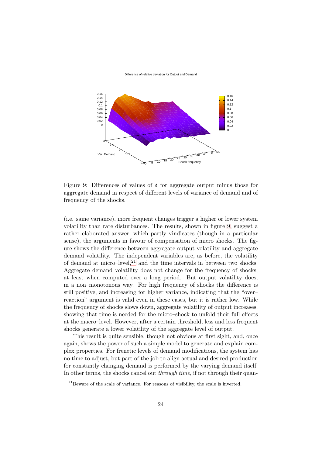Difference of relative deviation for Output and Demand



<span id="page-24-0"></span>Figure 9: Differences of values of  $\delta$  for aggregate output minus those for aggregate demand in respect of different levels of variance of demand and of frequency of the shocks.

(i.e. same variance), more frequent changes trigger a higher or lower system volatility than rare disturbances. The results, shown in figure [9,](#page-24-0) suggest a rather elaborated answer, which partly vindicates (though in a particular sense), the arguments in favour of compensation of micro shocks. The figure shows the difference between aggregate output volatility and aggregate demand volatility. The independent variables are, as before, the volatility of demand at micro–level, $^{21}$  $^{21}$  $^{21}$  and the time intervals in between two shocks. Aggregate demand volatility does not change for the frequency of shocks, at least when computed over a long period. But output volatility does, in a non–monotonous way. For high frequency of shocks the difference is still positive, and increasing for higher variance, indicating that the "over– reaction" argument is valid even in these cases, but it is rather low. While the frequency of shocks slows down, aggregate volatility of output increases, showing that time is needed for the micro–shock to unfold their full effects at the macro–level. However, after a certain threshold, less and less frequent shocks generate a lower volatility of the aggregate level of output.

This result is quite sensible, though not obvious at first sight, and, once again, shows the power of such a simple model to generate and explain complex properties. For frenetic levels of demand modifications, the system has no time to adjust, but part of the job to align actual and desired production for constantly changing demand is performed by the varying demand itself. In other terms, the shocks cancel out *through time*, if not through their quan-

<span id="page-24-1"></span><sup>&</sup>lt;sup>21</sup>Beware of the scale of variance. For reasons of visibility, the scale is inverted.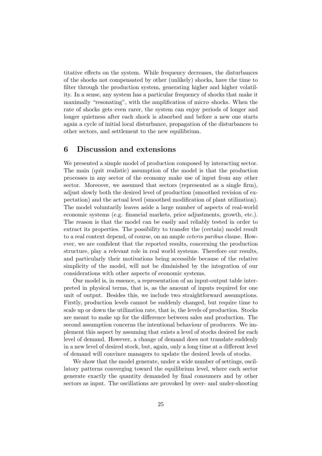titative effects on the system. While frequency decreases, the disturbances of the shocks not compensated by other (unlikely) shocks, have the time to filter through the production system, generating higher and higher volatility. In a sense, any system has a particular frequency of shocks that make it maximally "resonating", with the amplification of micro–shocks. When the rate of shocks gets even rarer, the system can enjoy periods of longer and longer quietness after each shock is absorbed and before a new one starts again a cycle of initial local disturbance, propagation of the disturbances to other sectors, and settlement to the new equilibrium.

# 6 Discussion and extensions

We presented a simple model of production composed by interacting sector. The main (quit realistic) assumption of the model is that the production processes in any sector of the economy make use of input from any other sector. Moreover, we assumed that sectors (represented as a single firm), adjust slowly both the desired level of production (smoothed revision of expectation) and the actual level (smoothed modification of plant utilization). The model voluntarily leaves aside a large number of aspects of real-world economic systems (e.g. financial markets, price adjustments, growth, etc.). The reason is that the model can be easily and reliably tested in order to extract its properties. The possibility to transfer the (certain) model result to a real context depend, of course, on an ample ceteris paribus clause. However, we are confident that the reported results, concerning the production structure, play a relevant role in real world systems. Therefore our results, and particularly their motivations being accessible because of the relative simplicity of the model, will not be diminished by the integration of our considerations with other aspects of economic systems.

Our model is, in essence, a representation of an input-output table interpreted in physical terms, that is, as the amount of inputs required for one unit of output. Besides this, we include two straightforward assumptions. Firstly, production levels cannot be suddenly changed, but require time to scale up or down the utilization rate, that is, the levels of production. Stocks are meant to make up for the difference between sales and production. The second assumption concerns the intentional behaviour of producers. We implement this aspect by assuming that exists a level of stocks desired for each level of demand. However, a change of demand does not translate suddenly in a new level of desired stock, but, again, only a long time at a different level of demand will convince managers to update the desired levels of stocks.

We show that the model generate, under a wide number of settings, oscillatory patterns converging toward the equilibrium level, where each sector generate exactly the quantity demanded by final consumers and by other sectors as input. The oscillations are provoked by over- and under-shooting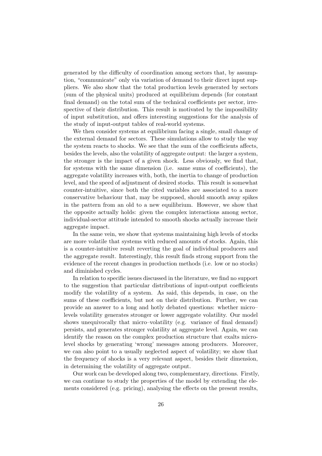generated by the difficulty of coordination among sectors that, by assumption, "communicate" only via variation of demand to their direct input suppliers. We also show that the total production levels generated by sectors (sum of the physical units) produced at equilibrium depends (for constant final demand) on the total sum of the technical coefficients per sector, irrespective of their distribution. This result is motivated by the impossibility of input substitution, and offers interesting suggestions for the analysis of the study of input-output tables of real-world systems.

We then consider systems at equilibrium facing a single, small change of the external demand for sectors. These simulations allow to study the way the system reacts to shocks. We see that the sum of the coefficients affects, besides the levels, also the volatility of aggregate output: the larger a system, the stronger is the impact of a given shock. Less obviously, we find that, for systems with the same dimension (i.e. same sums of coefficients), the aggregate volatility increases with, both, the inertia to change of production level, and the speed of adjustment of desired stocks. This result is somewhat counter-intuitive, since both the cited variables are associated to a more conservative behaviour that, may be supposed, should smooth away spikes in the pattern from an old to a new equilibrium. However, we show that the opposite actually holds: given the complex interactions among sector, individual-sector attitude intended to smooth shocks actually increase their aggregate impact.

In the same vein, we show that systems maintaining high levels of stocks are more volatile that systems with reduced amounts of stocks. Again, this is a counter-intuitive result reverting the goal of individual producers and the aggregate result. Interestingly, this result finds strong support from the evidence of the recent changes in production methods (i.e. low or no stocks) and diminished cycles.

In relation to specific issues discussed in the literature, we find no support to the suggestion that particular distributions of input-output coefficients modify the volatility of a system. As said, this depends, in case, on the sums of these coefficients, but not on their distribution. Further, we can provide an answer to a long and hotly debated questions: whether micro– levels volatility generates stronger or lower aggregate volatility. Our model shows unequivocally that micro–volatility (e.g. variance of final demand) persists, and generates stronger volatility at aggregate level. Again, we can identify the reason on the complex production structure that exalts microlevel shocks by generating 'wrong' messages among producers. Moreover, we can also point to a usually neglected aspect of volatility; we show that the frequency of shocks is a very relevant aspect, besides their dimension, in determining the volatility of aggregate output.

Our work can be developed along two, complementary, directions. Firstly, we can continue to study the properties of the model by extending the elements considered (e.g. pricing), analysing the effects on the present results,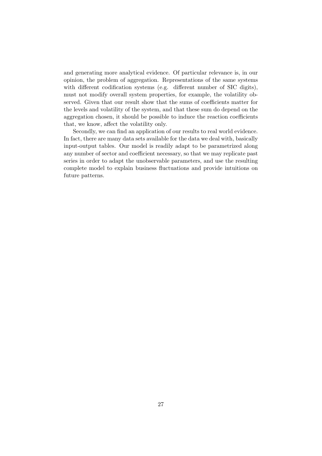and generating more analytical evidence. Of particular relevance is, in our opinion, the problem of aggregation. Representations of the same systems with different codification systems (e.g. different number of SIC digits), must not modify overall system properties, for example, the volatility observed. Given that our result show that the sums of coefficients matter for the levels and volatility of the system, and that these sum do depend on the aggregation chosen, it should be possible to induce the reaction coefficients that, we know, affect the volatility only.

Secondly, we can find an application of our results to real world evidence. In fact, there are many data sets available for the data we deal with, basically input-output tables. Our model is readily adapt to be parametrized along any number of sector and coefficient necessary, so that we may replicate past series in order to adapt the unobservable parameters, and use the resulting complete model to explain business fluctuations and provide intuitions on future patterns.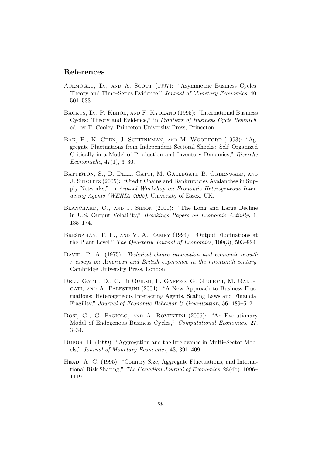# References

- ACEMOGLU, D., AND A. SCOTT (1997): "Asymmetric Business Cycles: Theory and Time–Series Evidence," Journal of Monetary Economics, 40, 501–533.
- BACKUS, D., P. KEHOE, AND F. KYDLAND (1995): "International Business Cycles: Theory and Evidence," in Frontiers of Business Cycle Research, ed. by T. Cooley. Princeton University Press, Princeton.
- Bak, P., K. Chen, J. Scheinkman, and M. Woodford (1993): "Aggregate Fluctuations from Independent Sectoral Shocks: Self–Organized Critically in a Model of Production and Inventory Dynamics," Ricerche Economiche, 47(1), 3–30.
- BATTISTON, S., D. DELLI GATTI, M. GALLEGATI, B. GREENWALD, AND J. STIGLITZ (2005): "Credit Chains and Bankruptcies Avalanches in Supply Networks," in Annual Workshop on Economic Heterogeneous Interacting Agents (WEHIA 2005), University of Essex, UK.
- BLANCHARD, O., AND J. SIMON (2001): "The Long and Large Decline in U.S. Output Volatility," Brookings Papers on Economic Activity, 1, 135–174.
- Bresnahan, T. F., and V. A. Ramey (1994): "Output Fluctuations at the Plant Level," The Quarterly Journal of Economics, 109(3), 593–924.
- DAVID, P. A. (1975): Technical choice innovation and economic growth : essays on American and British experience in the nineteenth century. Cambridge University Press, London.
- Delli Gatti, D., C. Di Guilmi, E. Gaffeo, G. Giulioni, M. Gallegati, and A. Palestrini (2004): "A New Approach to Business Fluctuations: Heterogeneous Interacting Agents, Scaling Laws and Financial Fragility," Journal of Economic Behavior & Organization, 56, 489–512.
- Dosi, G., G. FAGIOLO, AND A. ROVENTINI (2006): "An Evolutionary Model of Endogenous Business Cycles," Computational Economics, 27, 3–34.
- Dupor, B. (1999): "Aggregation and the Irrelevance in Multi–Sector Models," Journal of Monetary Economics, 43, 391–409.
- Head, A. C. (1995): "Country Size, Aggregate Fluctuations, and International Risk Sharing," The Canadian Journal of Economics, 28(4b), 1096– 1119.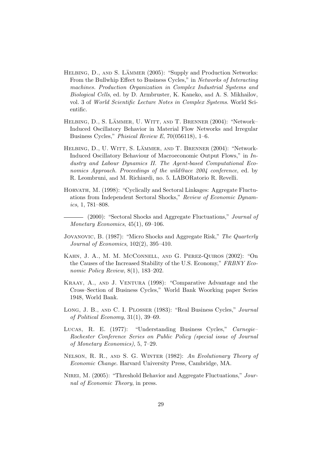- HELBING, D., AND S. LÄMMER (2005): "Supply and Production Networks: From the Bullwhip Effect to Business Cycles," in Networks of Interacting machines. Production Organization in Complex Industrial Systems and Biological Cells, ed. by D. Armbruster, K. Kaneko, and A. S. Mikhailov, vol. 3 of World Scientific Lecture Notes in Complex Systems. World Scientific.
- HELBING, D., S. LÄMMER, U. WITT, AND T. BRENNER (2004): "Network-Induced Oscillatory Behavior in Material Flow Networks and Irregular Business Cycles," Phisical Review E, 70(056118), 1–6.
- HELBING, D., U. WITT, S. LÄMMER, AND T. BRENNER (2004): "Network-Induced Oscillatory Behaviour of Macroeconomic Output Flows," in Industry and Labour Dynamics II. The Agent-based Computational Economics Approach. Proceedings of the wild@ace 2004 conference, ed. by R. Leombruni, and M. Richiardi, no. 5. LABORatorio R. Revelli.
- HORVATH, M. (1998): "Cyclically and Sectoral Linkages: Aggregate Fluctuations from Independent Sectoral Shocks," Review of Economic Dynamics, 1, 781–808.
	- (2000): "Sectoral Shocks and Aggregate Fluctuations," *Journal of* Monetary Economics, 45(1), 69–106.
- Jovanovic, B. (1987): "Micro Shocks and Aggregate Risk," The Quarterly Journal of Economics, 102(2), 395–410.
- Kahn, J. A., M. M. McConnell, and G. Perez-Quiros (2002): "On the Causes of the Increased Stability of the U.S. Economy," FRBNY Economic Policy Review, 8(1), 183–202.
- KRAAY, A., AND J. VENTURA (1998): "Comparative Advantage and the Cross–Section of Business Cycles," World Bank Woorking paper Series 1948, World Bank.
- Long, J. B., and C. I. Plosser (1983): "Real Business Cycles," Journal of Political Economy, 31(1), 39–69.
- Lucas, R. E. (1977): "Understanding Business Cycles," Carnegie– Rochester Conference Series on Public Policy (special issue of Journal of Monetary Economics), 5, 7–29.
- Nelson, R. R., and S. G. Winter (1982): An Evolutionary Theory of Economic Change. Harvard University Press, Cambridge, MA.
- NIREI, M. (2005): "Threshold Behavior and Aggregate Fluctuations," Journal of Economic Theory, in press.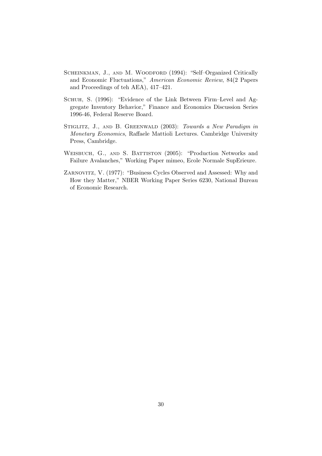- SCHEINKMAN, J., AND M. WOODFORD (1994): "Self-Organized Critically and Economic Fluctuations," American Economic Review, 84(2 Papers and Proceedings of teh AEA), 417–421.
- Schuh, S. (1996): "Evidence of the Link Between Firm–Level and Aggregate Inventory Behavior," Finance and Economics Discussion Series 1996-46, Federal Reserve Board.
- STIGLITZ, J., AND B. GREENWALD (2003): Towards a New Paradigm in Monetary Economics, Raffaele Mattioli Lectures. Cambridge University Press, Cambridge.
- WEISBUCH, G., AND S. BATTISTON (2005): "Production Networks and Failure Avalanches," Working Paper mimeo, Ecole Normale SupErieure.
- Zarnovitz, V. (1977): "Business Cycles Observed and Assessed: Why and How they Matter," NBER Working Paper Series 6230, National Bureau of Economic Research.